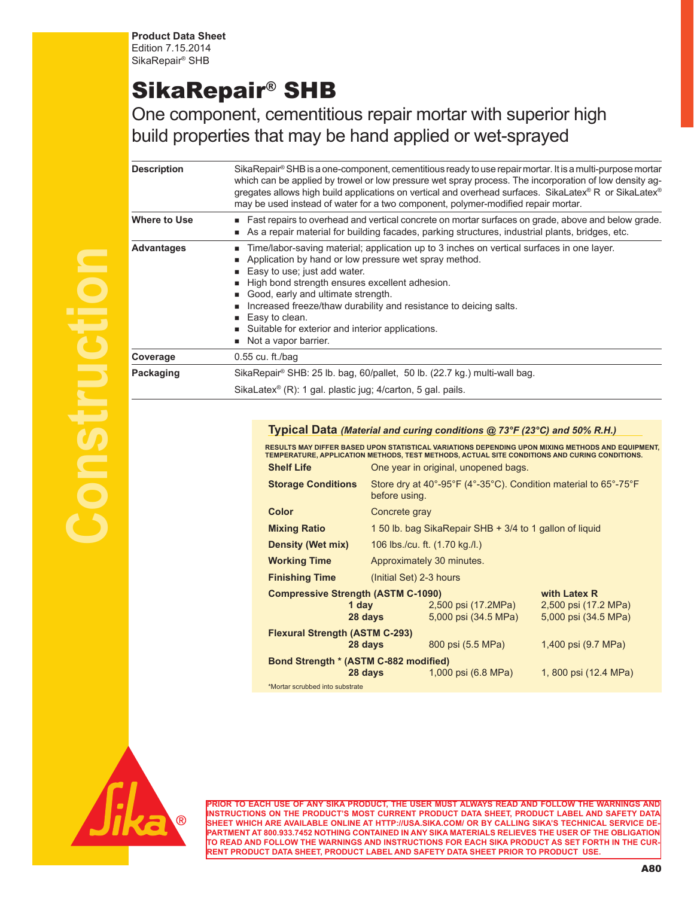**Product Data Sheet** Edition 7.15.2014 SikaRepair® SHB

## SikaRepair® SHB

One component, cementitious repair mortar with superior high build properties that may be hand applied or wet-sprayed

| <b>Description</b> | SikaRepair® SHB is a one-component, cementitious ready to use repair mortar. It is a multi-purpose mortar<br>which can be applied by trowel or low pressure wet spray process. The incorporation of low density ag-<br>gregates allows high build applications on vertical and overhead surfaces. SikaLatex® R or SikaLatex®<br>may be used instead of water for a two component, polymer-modified repair mortar.                                 |  |  |
|--------------------|---------------------------------------------------------------------------------------------------------------------------------------------------------------------------------------------------------------------------------------------------------------------------------------------------------------------------------------------------------------------------------------------------------------------------------------------------|--|--|
| Where to Use       | ■ Fast repairs to overhead and vertical concrete on mortar surfaces on grade, above and below grade.<br>As a repair material for building facades, parking structures, industrial plants, bridges, etc.                                                                                                                                                                                                                                           |  |  |
| <b>Advantages</b>  | Time/labor-saving material; application up to 3 inches on vertical surfaces in one layer.<br>Application by hand or low pressure wet spray method.<br>■ Easy to use; just add water.<br>High bond strength ensures excellent adhesion.<br>Good, early and ultimate strength.<br>Increased freeze/thaw durability and resistance to deicing salts.<br>Easy to clean.<br>■ Suitable for exterior and interior applications.<br>Not a vapor barrier. |  |  |
| Coverage           | $0.55$ cu. ft./bag                                                                                                                                                                                                                                                                                                                                                                                                                                |  |  |
| Packaging          | SikaRepair <sup>®</sup> SHB: 25 lb. bag, 60/pallet, 50 lb. (22.7 kg.) multi-wall bag.                                                                                                                                                                                                                                                                                                                                                             |  |  |
|                    | SikaLatex <sup>®</sup> (R): 1 gal. plastic jug; 4/carton, 5 gal. pails.                                                                                                                                                                                                                                                                                                                                                                           |  |  |

## **Typical Data** *(Material and curing conditions @ 73°F (23°C) and 50% R.H.)*

RESULTS MAY DIFFER BASED UPON STATISTICAL VARIATIONS DEPENDING UPON MIXING METHODS AND EQUIPMENT,<br>TEMPERATURE, APPLICATION METHODS, TEST METHODS, ACTUAL SITE CONDITIONS AND CURING CONDITIONS.

| <b>Shelf Life</b>                                                                                | One year in original, unopened bags.                    |                                                                 |                                                              |  |
|--------------------------------------------------------------------------------------------------|---------------------------------------------------------|-----------------------------------------------------------------|--------------------------------------------------------------|--|
| <b>Storage Conditions</b>                                                                        | before using.                                           | Store dry at 40°-95°F (4°-35°C). Condition material to 65°-75°F |                                                              |  |
| Color                                                                                            | Concrete gray                                           |                                                                 |                                                              |  |
| <b>Mixing Ratio</b>                                                                              | 1 50 lb. bag SikaRepair SHB + 3/4 to 1 gallon of liquid |                                                                 |                                                              |  |
| <b>Density (Wet mix)</b>                                                                         | 106 lbs./cu. ft. (1.70 kg./l.)                          |                                                                 |                                                              |  |
| <b>Working Time</b>                                                                              | Approximately 30 minutes.                               |                                                                 |                                                              |  |
| <b>Finishing Time</b>                                                                            | (Initial Set) 2-3 hours                                 |                                                                 |                                                              |  |
| <b>Compressive Strength (ASTM C-1090)</b><br>1 day                                               | 28 days                                                 | 2,500 psi (17.2MPa)<br>5,000 psi (34.5 MPa)                     | with Latex R<br>2,500 psi (17.2 MPa)<br>5,000 psi (34.5 MPa) |  |
| <b>Flexural Strength (ASTM C-293)</b><br>800 psi (5.5 MPa)<br>1,400 psi (9.7 MPa)<br>28 days     |                                                         |                                                                 |                                                              |  |
| Bond Strength * (ASTM C-882 modified)<br>28 days<br>1, 800 psi (12.4 MPa)<br>1,000 psi (6.8 MPa) |                                                         |                                                                 |                                                              |  |
| *Mortar scrubbed into substrate                                                                  |                                                         |                                                                 |                                                              |  |



**PRIOR TO EACH USE OF ANY SIKA PRODUCT, THE USER MUST ALWAYS READ AND FOLLOW THE WARNINGS AND INSTRUCTIONS ON THE PRODUCT'S MOST CURRENT PRODUCT DATA SHEET, PRODUCT LABEL AND SAFETY DATA SHEET WHICH ARE AVAILABLE ONLINE AT HTTP://USA.SIKA.COM/ OR BY CALLING SIKA'S TECHNICAL SERVICE DE-PARTMENT AT 800.933.7452 NOTHING CONTAINED IN ANY SIKA MATERIALS RELIEVES THE USER OF THE OBLIGATION TO READ AND FOLLOW THE WARNINGS AND INSTRUCTIONS FOR EACH SIKA PRODUCT AS SET FORTH IN THE CUR-RENT PRODUCT DATA SHEET, PRODUCT LABEL AND SAFETY DATA SHEET PRIOR TO PRODUCT USE.**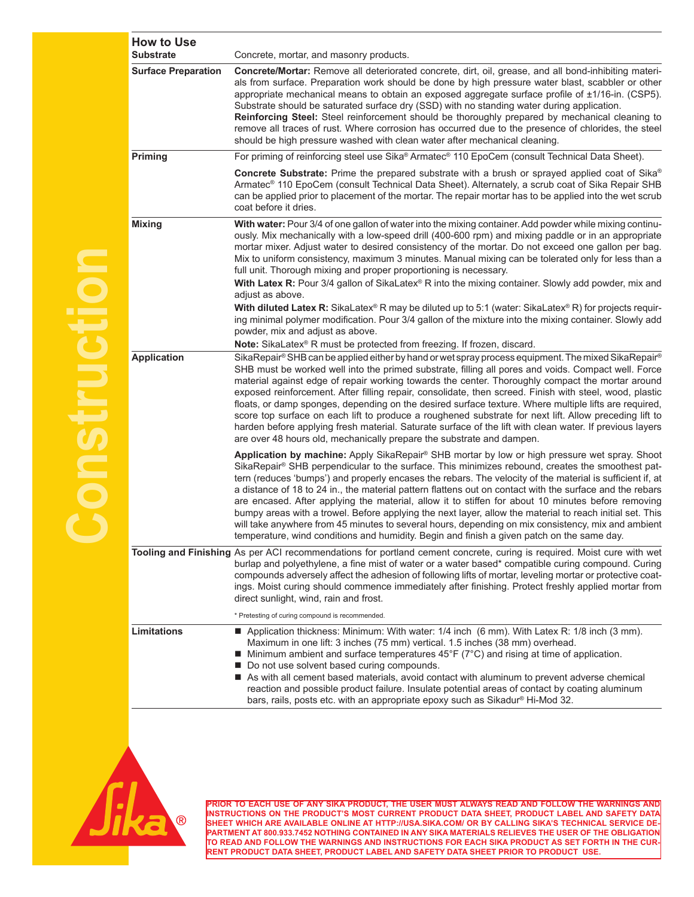| <b>How to Use</b>          |                                                                                                                                                                                                                                                                                                                                                                                                                                                                                                                                                                                                                                                                                                                                                                                                                                                                                                                                                               |
|----------------------------|---------------------------------------------------------------------------------------------------------------------------------------------------------------------------------------------------------------------------------------------------------------------------------------------------------------------------------------------------------------------------------------------------------------------------------------------------------------------------------------------------------------------------------------------------------------------------------------------------------------------------------------------------------------------------------------------------------------------------------------------------------------------------------------------------------------------------------------------------------------------------------------------------------------------------------------------------------------|
| <b>Substrate</b>           | Concrete, mortar, and masonry products.                                                                                                                                                                                                                                                                                                                                                                                                                                                                                                                                                                                                                                                                                                                                                                                                                                                                                                                       |
| <b>Surface Preparation</b> | Concrete/Mortar: Remove all deteriorated concrete, dirt, oil, grease, and all bond-inhibiting materi-<br>als from surface. Preparation work should be done by high pressure water blast, scabbler or other<br>appropriate mechanical means to obtain an exposed aggregate surface profile of ±1/16-in. (CSP5).<br>Substrate should be saturated surface dry (SSD) with no standing water during application.<br>Reinforcing Steel: Steel reinforcement should be thoroughly prepared by mechanical cleaning to<br>remove all traces of rust. Where corrosion has occurred due to the presence of chlorides, the steel<br>should be high pressure washed with clean water after mechanical cleaning.                                                                                                                                                                                                                                                           |
| Priming                    | For priming of reinforcing steel use Sika® Armatec® 110 EpoCem (consult Technical Data Sheet).                                                                                                                                                                                                                                                                                                                                                                                                                                                                                                                                                                                                                                                                                                                                                                                                                                                                |
|                            | Concrete Substrate: Prime the prepared substrate with a brush or sprayed applied coat of Sika®<br>Armatec® 110 EpoCem (consult Technical Data Sheet). Alternately, a scrub coat of Sika Repair SHB<br>can be applied prior to placement of the mortar. The repair mortar has to be applied into the wet scrub<br>coat before it dries.                                                                                                                                                                                                                                                                                                                                                                                                                                                                                                                                                                                                                        |
| <b>Mixing</b>              | With water: Pour 3/4 of one gallon of water into the mixing container. Add powder while mixing continu-<br>ously. Mix mechanically with a low-speed drill (400-600 rpm) and mixing paddle or in an appropriate<br>mortar mixer. Adjust water to desired consistency of the mortar. Do not exceed one gallon per bag.<br>Mix to uniform consistency, maximum 3 minutes. Manual mixing can be tolerated only for less than a<br>full unit. Thorough mixing and proper proportioning is necessary.<br>With Latex R: Pour 3/4 gallon of SikaLatex® R into the mixing container. Slowly add powder, mix and<br>adjust as above.<br>With diluted Latex R: SikaLatex® R may be diluted up to 5:1 (water: SikaLatex® R) for projects requir-<br>ing minimal polymer modification. Pour 3/4 gallon of the mixture into the mixing container. Slowly add<br>powder, mix and adjust as above.<br>Note: SikaLatex® R must be protected from freezing. If frozen, discard. |
| <b>Application</b>         | SikaRepair® SHB can be applied either by hand or wet spray process equipment. The mixed SikaRepair®<br>SHB must be worked well into the primed substrate, filling all pores and voids. Compact well. Force<br>material against edge of repair working towards the center. Thoroughly compact the mortar around<br>exposed reinforcement. After filling repair, consolidate, then screed. Finish with steel, wood, plastic<br>floats, or damp sponges, depending on the desired surface texture. Where multiple lifts are required,<br>score top surface on each lift to produce a roughened substrate for next lift. Allow preceding lift to<br>harden before applying fresh material. Saturate surface of the lift with clean water. If previous layers<br>are over 48 hours old, mechanically prepare the substrate and dampen.                                                                                                                             |
|                            | Application by machine: Apply SikaRepair® SHB mortar by low or high pressure wet spray. Shoot<br>SikaRepair® SHB perpendicular to the surface. This minimizes rebound, creates the smoothest pat-<br>tern (reduces 'bumps') and properly encases the rebars. The velocity of the material is sufficient if, at<br>a distance of 18 to 24 in., the material pattern flattens out on contact with the surface and the rebars<br>are encased. After applying the material, allow it to stiffen for about 10 minutes before removing<br>bumpy areas with a trowel. Before applying the next layer, allow the material to reach initial set. This<br>will take anywhere from 45 minutes to several hours, depending on mix consistency, mix and ambient<br>temperature, wind conditions and humidity. Begin and finish a given patch on the same day.                                                                                                              |
|                            | Tooling and Finishing As per ACI recommendations for portland cement concrete, curing is required. Moist cure with wet<br>burlap and polyethylene, a fine mist of water or a water based* compatible curing compound. Curing<br>compounds adversely affect the adhesion of following lifts of mortar, leveling mortar or protective coat-<br>ings. Moist curing should commence immediately after finishing. Protect freshly applied mortar from<br>direct sunlight, wind, rain and frost.                                                                                                                                                                                                                                                                                                                                                                                                                                                                    |
|                            | * Pretesting of curing compound is recommended.                                                                                                                                                                                                                                                                                                                                                                                                                                                                                                                                                                                                                                                                                                                                                                                                                                                                                                               |
| <b>Limitations</b>         | Application thickness: Minimum: With water: 1/4 inch (6 mm). With Latex R: 1/8 inch (3 mm).<br>Maximum in one lift: 3 inches (75 mm) vertical. 1.5 inches (38 mm) overhead.<br>$\blacksquare$ Minimum ambient and surface temperatures 45°F ( $7^{\circ}$ C) and rising at time of application.<br>■ Do not use solvent based curing compounds.<br>As with all cement based materials, avoid contact with aluminum to prevent adverse chemical<br>reaction and possible product failure. Insulate potential areas of contact by coating aluminum<br>bars, rails, posts etc. with an appropriate epoxy such as Sikadur® Hi-Mod 32.                                                                                                                                                                                                                                                                                                                             |



**Construction**

 $\overline{\phantom{a}}$ 

DASti

**PRIOR TO EACH USE OF ANY SIKA PRODUCT, THE USER MUST ALWAYS READ AND FOLLOW THE WARNINGS AND INSTRUCTIONS ON THE PRODUCT'S MOST CURRENT PRODUCT DATA SHEET, PRODUCT LABEL AND SAFETY DATA SHEET WHICH ARE AVAILABLE ONLINE AT HTTP://USA.SIKA.COM/ OR BY CALLING SIKA'S TECHNICAL SERVICE DE-PARTMENT AT 800.933.7452 NOTHING CONTAINED IN ANY SIKA MATERIALS RELIEVES THE USER OF THE OBLIGATION TO READ AND FOLLOW THE WARNINGS AND INSTRUCTIONS FOR EACH SIKA PRODUCT AS SET FORTH IN THE CUR-RENT PRODUCT DATA SHEET, PRODUCT LABEL AND SAFETY DATA SHEET PRIOR TO PRODUCT USE.**